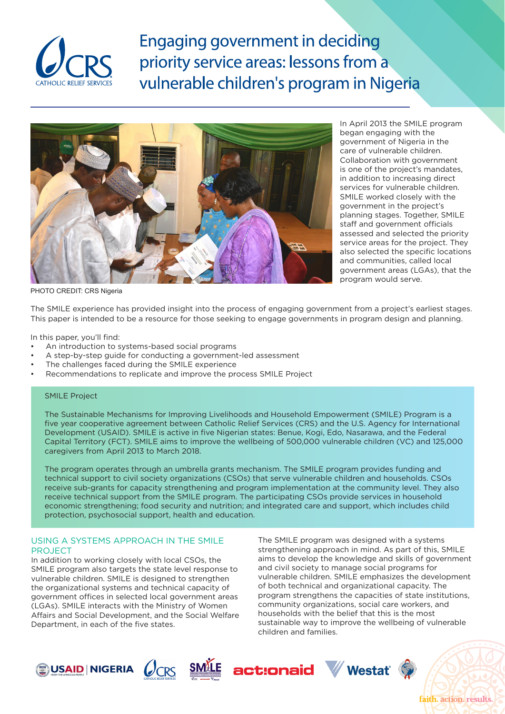

**Engaging government in deciding** priority service areas: lessons from a vulnerable children's program in Nigeria



In April 2013 the SMILE program began engaging with the government of Nigeria in the care of vulnerable children. Collaboration with government is one of the project's mandates, in addition to increasing direct services for vulnerable children. SMILE worked closely with the government in the project's planning stages. Together, SMILE staff and government officials assessed and selected the priority service areas for the project. They also selected the specific locations and communities, called local government areas (LGAs), that the program would serve.

PHOTO CREDIT: CRS Nigeria

The SMILE experience has provided insight into the process of engaging government from a project's earliest stages. This paper is intended to be a resource for those seeking to engage governments in program design and planning.

In this paper, you'll find:

- An introduction to systems-based social programs
- A step-by-step guide for conducting a government-led assessment
- The challenges faced during the SMILE experience
- Recommendations to replicate and improve the process SMILE Project

### SMILE Project

The Sustainable Mechanisms for Improving Livelihoods and Household Empowerment (SMILE) Program is a five year cooperative agreement between Catholic Relief Services (CRS) and the U.S. Agency for International Development (USAID). SMILE is active in five Nigerian states: Benue, Kogi, Edo, Nasarawa, and the Federal Capital Territory (FCT). SMILE aims to improve the wellbeing of 500,000 vulnerable children (VC) and 125,000 caregivers from April 2013 to March 2018.

The program operates through an umbrella grants mechanism. The SMILE program provides funding and technical support to civil society organizations (CSOs) that serve vulnerable children and households. CSOs receive sub-grants for capacity strengthening and program implementation at the community level. They also receive technical support from the SMILE program. The participating CSOs provide services in household economic strengthening; food security and nutrition; and integrated care and support, which includes child protection, psychosocial support, health and education.

### USING A SYSTEMS APPROACH IN THE SMILE PROJECT

In addition to working closely with local CSOs, the SMILE program also targets the state level response to vulnerable children. SMILE is designed to strengthen the organizational systems and technical capacity of government offices in selected local government areas (LGAs). SMILE interacts with the Ministry of Women Affairs and Social Development, and the Social Welfare Department, in each of the five states.

The SMILE program was designed with a systems strengthening approach in mind. As part of this, SMILE aims to develop the knowledge and skills of government and civil society to manage social programs for vulnerable children. SMILE emphasizes the development of both technical and organizational capacity. The program strengthens the capacities of state institutions, community organizations, social care workers, and households with the belief that this is the most sustainable way to improve the wellbeing of vulnerable children and families.









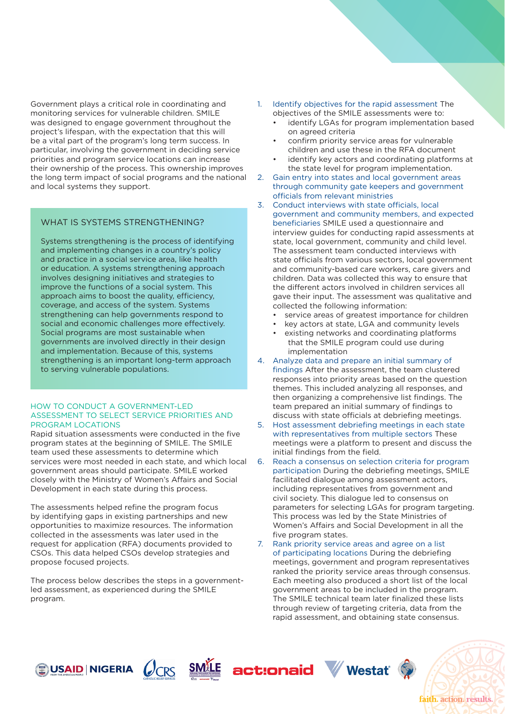Government plays a critical role in coordinating and monitoring services for vulnerable children. SMILE was designed to engage government throughout the project's lifespan, with the expectation that this will be a vital part of the program's long term success. In particular, involving the government in deciding service priorities and program service locations can increase their ownership of the process. This ownership improves the long term impact of social programs and the national and local systems they support.

# WHAT IS SYSTEMS STRENGTHENING?

Systems strengthening is the process of identifying and implementing changes in a country's policy and practice in a social service area, like health or education. A systems strengthening approach involves designing initiatives and strategies to improve the functions of a social system. This approach aims to boost the quality, efficiency, coverage, and access of the system. Systems strengthening can help governments respond to social and economic challenges more effectively. Social programs are most sustainable when governments are involved directly in their design and implementation. Because of this, systems strengthening is an important long-term approach to serving vulnerable populations.

#### HOW TO CONDUCT A GOVERNMENT-LED ASSESSMENT TO SELECT SERVICE PRIORITIES AND PROGRAM LOCATIONS

Rapid situation assessments were conducted in the five program states at the beginning of SMILE. The SMILE team used these assessments to determine which services were most needed in each state, and which local government areas should participate. SMILE worked closely with the Ministry of Women's Affairs and Social Development in each state during this process.

The assessments helped refine the program focus by identifying gaps in existing partnerships and new opportunities to maximize resources. The information collected in the assessments was later used in the request for application (RFA) documents provided to CSOs. This data helped CSOs develop strategies and propose focused projects.

The process below describes the steps in a governmentled assessment, as experienced during the SMILE program.

- 1. Identify objectives for the rapid assessment The objectives of the SMILE assessments were to:
	- identify LGAs for program implementation based on agreed criteria
	- confirm priority service areas for vulnerable children and use these in the RFA document
	- identify key actors and coordinating platforms at the state level for program implementation.
- 2. Gain entry into states and local government areas through community gate keepers and government officials from relevant ministries
- 3. Conduct interviews with state officials, local government and community members, and expected beneficiaries SMILE used a questionnaire and interview guides for conducting rapid assessments at state, local government, community and child level. The assessment team conducted interviews with state officials from various sectors, local government and community-based care workers, care givers and children. Data was collected this way to ensure that the different actors involved in children services all gave their input. The assessment was qualitative and collected the following information:
	- service areas of greatest importance for children
	- key actors at state, LGA and community levels existing networks and coordinating platforms that the SMILE program could use during
- implementation 4. Analyze data and prepare an initial summary of findings After the assessment, the team clustered responses into priority areas based on the question themes. This included analyzing all responses, and then organizing a comprehensive list findings. The team prepared an initial summary of findings to
- discuss with state officials at debriefing meetings. 5. Host assessment debriefing meetings in each state with representatives from multiple sectors These meetings were a platform to present and discuss the initial findings from the field.
- 6. Reach a consensus on selection criteria for program participation During the debriefing meetings, SMILE facilitated dialogue among assessment actors, including representatives from government and civil society. This dialogue led to consensus on parameters for selecting LGAs for program targeting. This process was led by the State Ministries of Women's Affairs and Social Development in all the five program states.
- 7. Rank priority service areas and agree on a list of participating locations During the debriefing meetings, government and program representatives ranked the priority service areas through consensus. Each meeting also produced a short list of the local government areas to be included in the program. The SMILE technical team later finalized these lists through review of targeting criteria, data from the rapid assessment, and obtaining state consensus.









faith. action. results.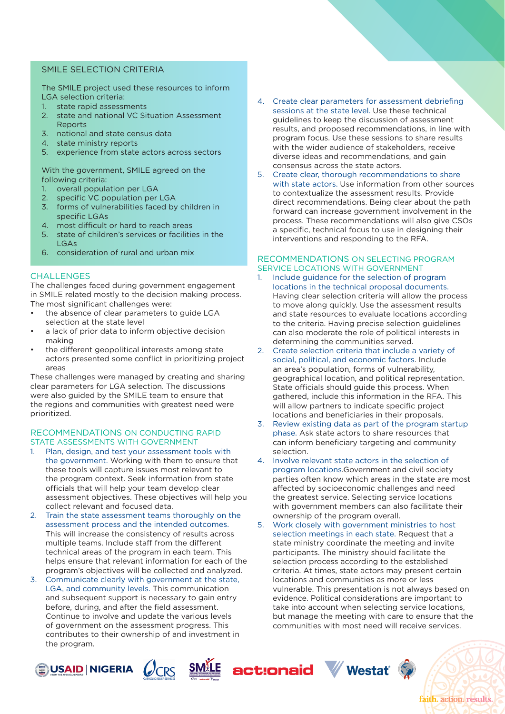# SMILE SELECTION CRITERIA

The SMILE project used these resources to inform LGA selection criteria:

- 1. state rapid assessments
- 2. state and national VC Situation Assessment Reports
- 3. national and state census data
- 4. state ministry reports
- 5. experience from state actors across sectors

With the government, SMILE agreed on the following criteria:

- 1. overall population per LGA
- 2. specific VC population per LGA
- 3. forms of vulnerabilities faced by children in specific LGAs
- 4. most difficult or hard to reach areas
- 5. state of children's services or facilities in the LGAs
- 6. consideration of rural and urban mix

# **CHALLENGES**

The challenges faced during government engagement in SMILE related mostly to the decision making process. The most significant challenges were:

- the absence of clear parameters to guide LGA selection at the state level
- a lack of prior data to inform objective decision making
- the different geopolitical interests among state actors presented some conflict in prioritizing project areas

These challenges were managed by creating and sharing clear parameters for LGA selection. The discussions were also guided by the SMILE team to ensure that the regions and communities with greatest need were prioritized.

### RECOMMENDATIONS ON CONDUCTING RAPID STATE ASSESSMENTS WITH GOVERNMENT

- 1. Plan, design, and test your assessment tools with the government. Working with them to ensure that these tools will capture issues most relevant to the program context. Seek information from state officials that will help your team develop clear assessment objectives. These objectives will help you collect relevant and focused data.
- 2. Train the state assessment teams thoroughly on the assessment process and the intended outcomes. This will increase the consistency of results across multiple teams. Include staff from the different technical areas of the program in each team. This helps ensure that relevant information for each of the program's objectives will be collected and analyzed.
- 3. Communicate clearly with government at the state, LGA, and community levels. This communication and subsequent support is necessary to gain entry before, during, and after the field assessment. Continue to involve and update the various levels of government on the assessment progress. This contributes to their ownership of and investment in the program.
- 4. Create clear parameters for assessment debriefing sessions at the state level. Use these technical guidelines to keep the discussion of assessment results, and proposed recommendations, in line with program focus. Use these sessions to share results with the wider audience of stakeholders, receive diverse ideas and recommendations, and gain consensus across the state actors.
- 5. Create clear, thorough recommendations to share with state actors. Use information from other sources to contextualize the assessment results. Provide direct recommendations. Being clear about the path forward can increase government involvement in the process. These recommendations will also give CSOs a specific, technical focus to use in designing their interventions and responding to the RFA.

#### RECOMMENDATIONS ON SELECTING PROGRAM SERVICE LOCATIONS WITH GOVERNMENT

- 1. Include guidance for the selection of program locations in the technical proposal documents. Having clear selection criteria will allow the process to move along quickly. Use the assessment results and state resources to evaluate locations according to the criteria. Having precise selection guidelines can also moderate the role of political interests in determining the communities served.
- 2. Create selection criteria that include a variety of social, political, and economic factors. Include an area's population, forms of vulnerability, geographical location, and political representation. State officials should guide this process. When gathered, include this information in the RFA. This will allow partners to indicate specific project locations and beneficiaries in their proposals.
- 3. Review existing data as part of the program startup phase. Ask state actors to share resources that can inform beneficiary targeting and community selection.
- 4. Involve relevant state actors in the selection of program locations.Government and civil society parties often know which areas in the state are most affected by socioeconomic challenges and need the greatest service. Selecting service locations with government members can also facilitate their ownership of the program overall.
- 5. Work closely with government ministries to host selection meetings in each state. Request that a state ministry coordinate the meeting and invite participants. The ministry should facilitate the selection process according to the established criteria. At times, state actors may present certain locations and communities as more or less vulnerable. This presentation is not always based on evidence. Political considerations are important to take into account when selecting service locations, but manage the meeting with care to ensure that the communities with most need will receive services.









faith. action. results.